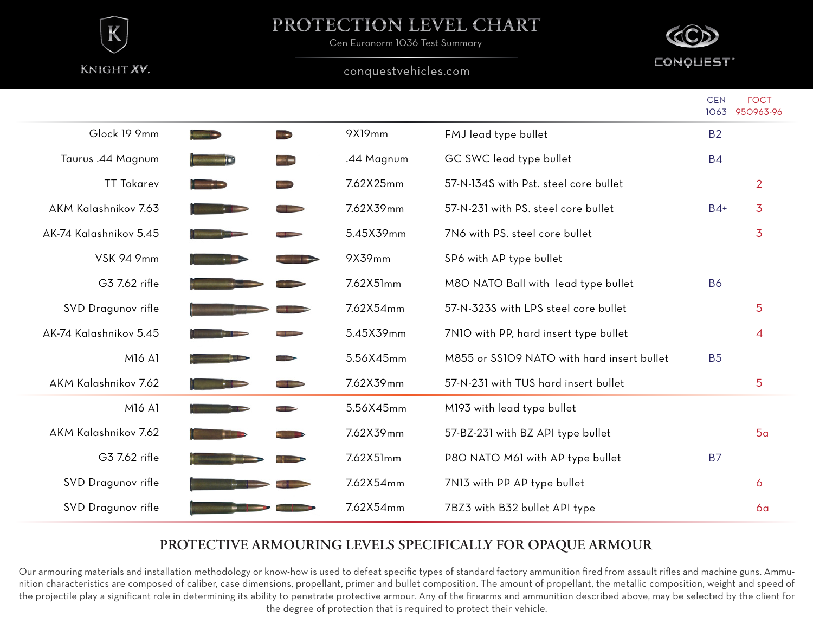

## PROTECTION LEVEL CHART

Cen Euronorm 1036 Test Summary

#### conquestvehicles.com



|                        |                         |                                   |            |                                            | <b>CEN</b> | <b>FOCT</b><br>1063 950963-96 |
|------------------------|-------------------------|-----------------------------------|------------|--------------------------------------------|------------|-------------------------------|
| Glock 19 9mm           | <b>CANADIAN COMPANY</b> | <b>WARD</b>                       | 9X19mm     | FMJ lead type bullet                       | <b>B2</b>  |                               |
| Taurus .44 Magnum      | $-122$                  | $-1-$                             | .44 Magnum | GC SWC lead type bullet                    | <b>B4</b>  |                               |
| <b>TT Tokarev</b>      |                         | $\overline{\phantom{a}}$          | 7.62X25mm  | 57-N-134S with Pst. steel core bullet      |            | $\overline{2}$                |
| AKM Kalashnikov 7.63   | $\frac{1}{2}$           | $\sim$                            | 7.62X39mm  | 57-N-231 with PS. steel core bullet        | $B4+$      | 3                             |
| AK-74 Kalashnikov 5.45 |                         |                                   | 5.45X39mm  | 7N6 with PS. steel core bullet             |            | 3                             |
| <b>VSK 94 9mm</b>      |                         | <b>Contract Contract Contract</b> | 9X39mm     | SP6 with AP type bullet                    |            |                               |
| G3 7.62 rifle          |                         |                                   | 7.62X51mm  | M80 NATO Ball with lead type bullet        | <b>B6</b>  |                               |
| SVD Dragunov rifle     |                         |                                   | 7.62X54mm  | 57-N-323S with LPS steel core bullet       |            | 5                             |
| AK-74 Kalashnikov 5.45 |                         |                                   | 5.45X39mm  | 7N10 with PP, hard insert type bullet      |            | $\overline{4}$                |
| M16 A1                 |                         |                                   | 5.56X45mm  | M855 or SS109 NATO with hard insert bullet | <b>B5</b>  |                               |
| AKM Kalashnikov 7.62   |                         |                                   | 7.62X39mm  | 57-N-231 with TUS hard insert bullet       |            | 5                             |
| M16 A1                 |                         |                                   | 5.56X45mm  | M193 with lead type bullet                 |            |                               |
| AKM Kalashnikov 7.62   |                         |                                   | 7.62X39mm  | 57-BZ-231 with BZ API type bullet          |            | 5a                            |
| G3 7.62 rifle          |                         |                                   | 7.62X51mm  | P8O NATO M61 with AP type bullet           | <b>B7</b>  |                               |
| SVD Dragunov rifle     |                         |                                   | 7.62X54mm  | 7N13 with PP AP type bullet                |            | 6                             |
| SVD Dragunov rifle     |                         |                                   | 7.62X54mm  | 7BZ3 with B32 bullet API type              |            | 6a                            |

### **PROTECTIVE ARMOURING LEVELS SPECIFICALLY FOR OPAQUE ARMOUR**

Our armouring materials and installation methodology or know-how is used to defeat specific types of standard factory ammunition fired from assault rifles and machine guns. Ammunition characteristics are composed of caliber, case dimensions, propellant, primer and bullet composition. The amount of propellant, the metallic composition, weight and speed of the projectile play a significant role in determining its ability to penetrate protective armour. Any of the firearms and ammunition described above, may be selected by the client for the degree of protection that is required to protect their vehicle.